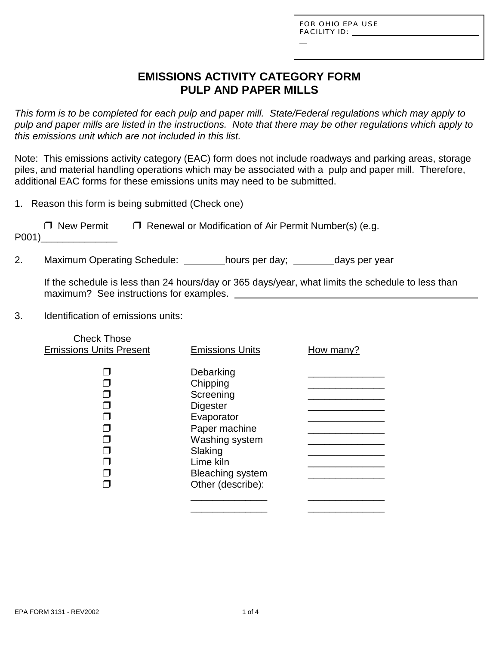L

## **EMISSIONS ACTIVITY CATEGORY FORM PULP AND PAPER MILLS**

*This form is to be completed for each pulp and paper mill. State/Federal regulations which may apply to pulp and paper mills are listed in the instructions. Note that there may be other regulations which apply to this emissions unit which are not included in this list.*

Note: This emissions activity category (EAC) form does not include roadways and parking areas, storage piles, and material handling operations which may be associated with a pulp and paper mill. Therefore, additional EAC forms for these emissions units may need to be submitted.

1. Reason this form is being submitted (Check one)

| $\Box$ New Permit | $\Box$ Renewal or Modification of Air Permit Number(s) (e.g. |
|-------------------|--------------------------------------------------------------|
| P001)             |                                                              |

2. Maximum Operating Schedule: \_\_\_\_\_\_\_hours per day; \_\_\_\_\_\_\_days per year

If the schedule is less than 24 hours/day or 365 days/year, what limits the schedule to less than maximum? See instructions for examples.

3. Identification of emissions units:

| <b>Check Those</b><br><b>Emissions Units Present</b> | <b>Emissions Units</b>                                                                                                                                                         | How many? |
|------------------------------------------------------|--------------------------------------------------------------------------------------------------------------------------------------------------------------------------------|-----------|
|                                                      | Debarking<br>Chipping<br>Screening<br><b>Digester</b><br>Evaporator<br>Paper machine<br>Washing system<br>Slaking<br>Lime kiln<br><b>Bleaching system</b><br>Other (describe): |           |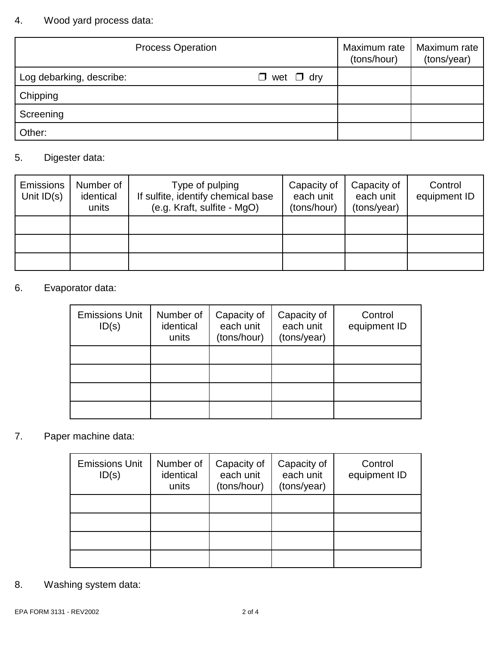# 4. Wood yard process data:

| <b>Process Operation</b> |                       | Maximum rate<br>(tons/hour) | Maximum rate<br>(tons/year) |
|--------------------------|-----------------------|-----------------------------|-----------------------------|
| Log debarking, describe: | $\Box$ wet $\Box$ dry |                             |                             |
| Chipping                 |                       |                             |                             |
| Screening                |                       |                             |                             |
| Other:                   |                       |                             |                             |

### 5. Digester data:

| <b>Emissions</b><br>Unit $ID(s)$ | Number of<br>identical<br>units | Type of pulping<br>If sulfite, identify chemical base<br>(e.g. Kraft, sulfite - MgO) | Capacity of<br>each unit<br>(tons/hour) | Capacity of<br>each unit<br>(tons/year) | Control<br>equipment ID |
|----------------------------------|---------------------------------|--------------------------------------------------------------------------------------|-----------------------------------------|-----------------------------------------|-------------------------|
|                                  |                                 |                                                                                      |                                         |                                         |                         |
|                                  |                                 |                                                                                      |                                         |                                         |                         |
|                                  |                                 |                                                                                      |                                         |                                         |                         |

## 6. Evaporator data:

| <b>Emissions Unit</b><br>ID(s) | Number of<br>identical<br>units | Capacity of<br>each unit<br>(tons/hour) | Capacity of<br>each unit<br>(tons/year) | Control<br>equipment ID |
|--------------------------------|---------------------------------|-----------------------------------------|-----------------------------------------|-------------------------|
|                                |                                 |                                         |                                         |                         |
|                                |                                 |                                         |                                         |                         |
|                                |                                 |                                         |                                         |                         |
|                                |                                 |                                         |                                         |                         |

# 7. Paper machine data:

| <b>Emissions Unit</b><br>ID(s) | Number of<br>identical<br>units | Capacity of<br>each unit<br>(tons/hour) | Capacity of<br>each unit<br>(tons/year) | Control<br>equipment ID |
|--------------------------------|---------------------------------|-----------------------------------------|-----------------------------------------|-------------------------|
|                                |                                 |                                         |                                         |                         |
|                                |                                 |                                         |                                         |                         |
|                                |                                 |                                         |                                         |                         |
|                                |                                 |                                         |                                         |                         |

8. Washing system data: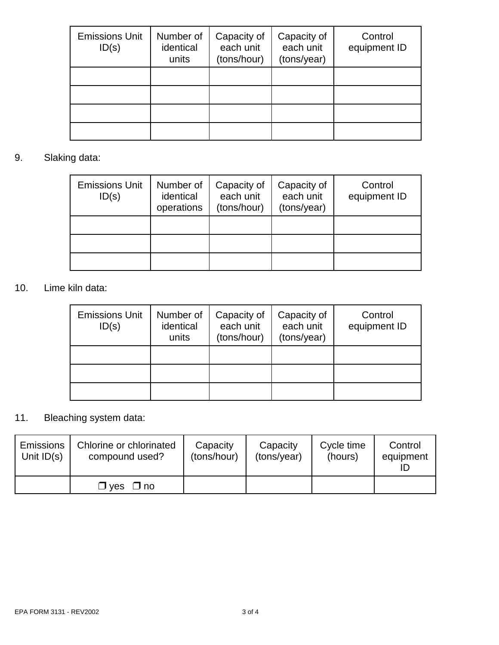| <b>Emissions Unit</b><br>ID(s) | Number of<br>identical<br>units | Capacity of<br>each unit<br>(tons/hour) | Capacity of<br>each unit<br>(tons/year) | Control<br>equipment ID |
|--------------------------------|---------------------------------|-----------------------------------------|-----------------------------------------|-------------------------|
|                                |                                 |                                         |                                         |                         |
|                                |                                 |                                         |                                         |                         |
|                                |                                 |                                         |                                         |                         |
|                                |                                 |                                         |                                         |                         |

### 9. Slaking data:

| <b>Emissions Unit</b><br>ID(s) | Number of<br>identical<br>operations | Capacity of<br>each unit<br>(tons/hour) | Capacity of<br>each unit<br>(tons/year) | Control<br>equipment ID |
|--------------------------------|--------------------------------------|-----------------------------------------|-----------------------------------------|-------------------------|
|                                |                                      |                                         |                                         |                         |
|                                |                                      |                                         |                                         |                         |
|                                |                                      |                                         |                                         |                         |

## 10. Lime kiln data:

| <b>Emissions Unit</b><br>ID(s) | Number of<br>identical<br>units | Capacity of<br>each unit<br>(tons/hour) | Capacity of<br>each unit<br>(tons/year) | Control<br>equipment ID |
|--------------------------------|---------------------------------|-----------------------------------------|-----------------------------------------|-------------------------|
|                                |                                 |                                         |                                         |                         |
|                                |                                 |                                         |                                         |                         |
|                                |                                 |                                         |                                         |                         |

# 11. Bleaching system data:

| <b>Emissions</b> | Chlorine or chlorinated   | Capacity    | Capacity    | Cycle time | Control   |
|------------------|---------------------------|-------------|-------------|------------|-----------|
| Unit $ID(s)$     | compound used?            | (tons/hour) | (tons/year) | (hours)    | equipment |
|                  | $\Box$ ves<br>$\sqcup$ no |             |             |            |           |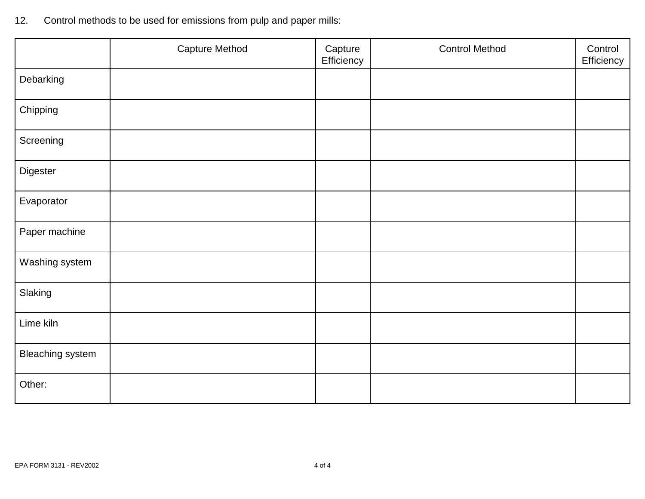| Control methods to be used for emissions from pulp and paper mills:<br>12. |  |  |  |  |  |
|----------------------------------------------------------------------------|--|--|--|--|--|
|----------------------------------------------------------------------------|--|--|--|--|--|

|                         | Capture Method | Capture<br>Efficiency | <b>Control Method</b> | Control<br>Efficiency |
|-------------------------|----------------|-----------------------|-----------------------|-----------------------|
| Debarking               |                |                       |                       |                       |
| Chipping                |                |                       |                       |                       |
| Screening               |                |                       |                       |                       |
| Digester                |                |                       |                       |                       |
| Evaporator              |                |                       |                       |                       |
| Paper machine           |                |                       |                       |                       |
| Washing system          |                |                       |                       |                       |
| Slaking                 |                |                       |                       |                       |
| Lime kiln               |                |                       |                       |                       |
| <b>Bleaching system</b> |                |                       |                       |                       |
| Other:                  |                |                       |                       |                       |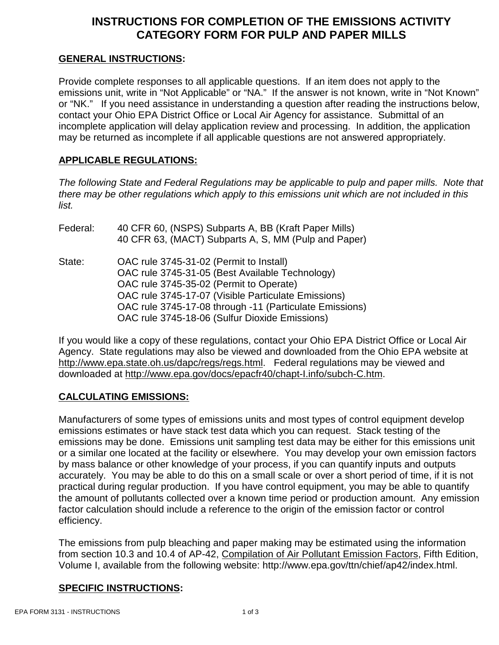## **INSTRUCTIONS FOR COMPLETION OF THE EMISSIONS ACTIVITY CATEGORY FORM FOR PULP AND PAPER MILLS**

#### **GENERAL INSTRUCTIONS:**

Provide complete responses to all applicable questions. If an item does not apply to the emissions unit, write in "Not Applicable" or "NA." If the answer is not known, write in "Not Known" or "NK." If you need assistance in understanding a question after reading the instructions below, contact your Ohio EPA District Office or Local Air Agency for assistance. Submittal of an incomplete application will delay application review and processing. In addition, the application may be returned as incomplete if all applicable questions are not answered appropriately.

#### **APPLICABLE REGULATIONS:**

*The following State and Federal Regulations may be applicable to pulp and paper mills. Note that there may be other regulations which apply to this emissions unit which are not included in this list.*

| Federal: | 40 CFR 60, (NSPS) Subparts A, BB (Kraft Paper Mills)<br>40 CFR 63, (MACT) Subparts A, S, MM (Pulp and Paper)                                                                                                                                                                                              |
|----------|-----------------------------------------------------------------------------------------------------------------------------------------------------------------------------------------------------------------------------------------------------------------------------------------------------------|
| State:   | OAC rule 3745-31-02 (Permit to Install)<br>OAC rule 3745-31-05 (Best Available Technology)<br>OAC rule 3745-35-02 (Permit to Operate)<br>OAC rule 3745-17-07 (Visible Particulate Emissions)<br>OAC rule 3745-17-08 through -11 (Particulate Emissions)<br>OAC rule 3745-18-06 (Sulfur Dioxide Emissions) |

If you would like a copy of these regulations, contact your Ohio EPA District Office or Local Air Agency. State regulations may also be viewed and downloaded from the Ohio EPA website at http://www.epa.state.oh.us/dapc/regs/regs.html. Federal regulations may be viewed and downloaded at http://www.epa.gov/docs/epacfr40/chapt-I.info/subch-C.htm.

### **CALCULATING EMISSIONS:**

Manufacturers of some types of emissions units and most types of control equipment develop emissions estimates or have stack test data which you can request. Stack testing of the emissions may be done. Emissions unit sampling test data may be either for this emissions unit or a similar one located at the facility or elsewhere. You may develop your own emission factors by mass balance or other knowledge of your process, if you can quantify inputs and outputs accurately. You may be able to do this on a small scale or over a short period of time, if it is not practical during regular production. If you have control equipment, you may be able to quantify the amount of pollutants collected over a known time period or production amount. Any emission factor calculation should include a reference to the origin of the emission factor or control efficiency.

The emissions from pulp bleaching and paper making may be estimated using the information from section 10.3 and 10.4 of AP-42, Compilation of Air Pollutant Emission Factors, Fifth Edition, Volume I, available from the following website: http://www.epa.gov/ttn/chief/ap42/index.html.

#### **SPECIFIC INSTRUCTIONS:**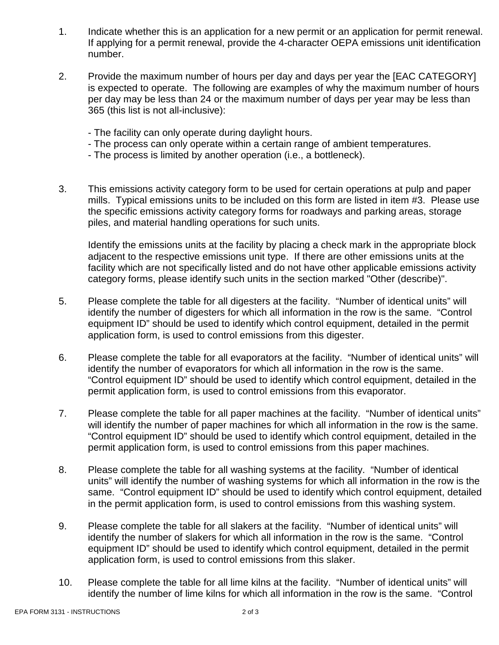- 1. Indicate whether this is an application for a new permit or an application for permit renewal. If applying for a permit renewal, provide the 4-character OEPA emissions unit identification number.
- 2. Provide the maximum number of hours per day and days per year the [EAC CATEGORY] is expected to operate. The following are examples of why the maximum number of hours per day may be less than 24 or the maximum number of days per year may be less than 365 (this list is not all-inclusive):
	- The facility can only operate during daylight hours.
	- The process can only operate within a certain range of ambient temperatures.
	- The process is limited by another operation (i.e., a bottleneck).
- 3. This emissions activity category form to be used for certain operations at pulp and paper mills. Typical emissions units to be included on this form are listed in item #3. Please use the specific emissions activity category forms for roadways and parking areas, storage piles, and material handling operations for such units.

Identify the emissions units at the facility by placing a check mark in the appropriate block adjacent to the respective emissions unit type. If there are other emissions units at the facility which are not specifically listed and do not have other applicable emissions activity category forms, please identify such units in the section marked "Other (describe)".

- 5. Please complete the table for all digesters at the facility. "Number of identical units" will identify the number of digesters for which all information in the row is the same. "Control equipment ID" should be used to identify which control equipment, detailed in the permit application form, is used to control emissions from this digester.
- 6. Please complete the table for all evaporators at the facility. "Number of identical units" will identify the number of evaporators for which all information in the row is the same. "Control equipment ID" should be used to identify which control equipment, detailed in the permit application form, is used to control emissions from this evaporator.
- 7. Please complete the table for all paper machines at the facility. "Number of identical units" will identify the number of paper machines for which all information in the row is the same. "Control equipment ID" should be used to identify which control equipment, detailed in the permit application form, is used to control emissions from this paper machines.
- 8. Please complete the table for all washing systems at the facility. "Number of identical units" will identify the number of washing systems for which all information in the row is the same. "Control equipment ID" should be used to identify which control equipment, detailed in the permit application form, is used to control emissions from this washing system.
- 9. Please complete the table for all slakers at the facility. "Number of identical units" will identify the number of slakers for which all information in the row is the same. "Control equipment ID" should be used to identify which control equipment, detailed in the permit application form, is used to control emissions from this slaker.
- 10. Please complete the table for all lime kilns at the facility. "Number of identical units" will identify the number of lime kilns for which all information in the row is the same. "Control